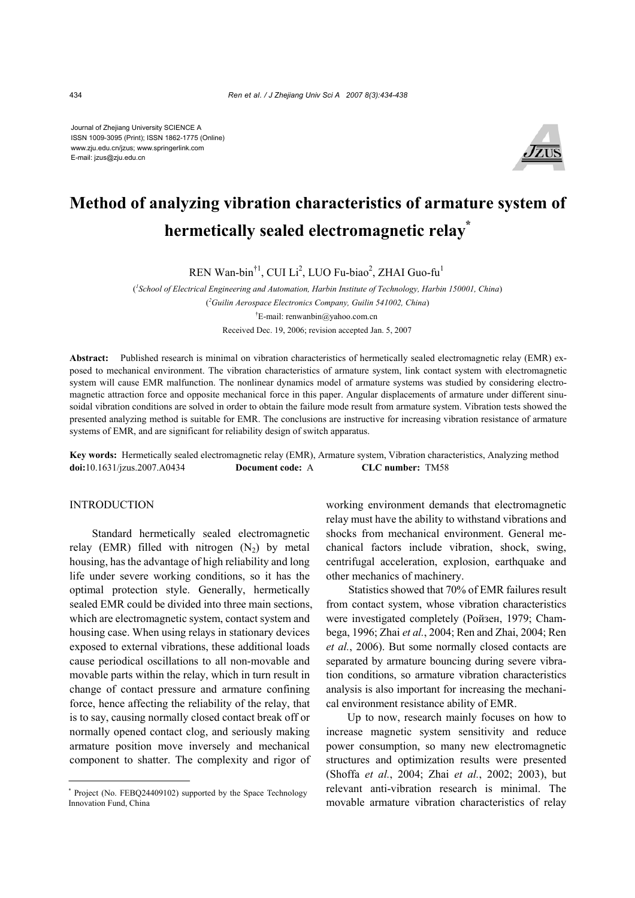Journal of Zhejiang University SCIENCE A ISSN 1009-3095 (Print); ISSN 1862-1775 (Online) www.zju.edu.cn/jzus; www.springerlink.com E-mail: jzus@zju.edu.cn



# **Method of analyzing vibration characteristics of armature system of hermetically sealed electromagnetic relay\***

 $REN$  Wan-bin<sup>†1</sup>, CUI Li<sup>2</sup>, LUO Fu-biao<sup>2</sup>, ZHAI Guo-fu<sup>1</sup>

( *1 School of Electrical Engineering and Automation, Harbin Institute of Technology, Harbin 150001, China*) ( *2 Guilin Aerospace Electronics Company, Guilin 541002, China*) † E-mail: renwanbin@yahoo.com.cn Received Dec. 19, 2006; revision accepted Jan. 5, 2007

**Abstract:** Published research is minimal on vibration characteristics of hermetically sealed electromagnetic relay (EMR) exposed to mechanical environment. The vibration characteristics of armature system, link contact system with electromagnetic system will cause EMR malfunction. The nonlinear dynamics model of armature systems was studied by considering electromagnetic attraction force and opposite mechanical force in this paper. Angular displacements of armature under different sinusoidal vibration conditions are solved in order to obtain the failure mode result from armature system. Vibration tests showed the presented analyzing method is suitable for EMR. The conclusions are instructive for increasing vibration resistance of armature systems of EMR, and are significant for reliability design of switch apparatus.

**Key words:** Hermetically sealed electromagnetic relay (EMR), Armature system, Vibration characteristics, Analyzing method **doi:**10.1631/jzus.2007.A0434 **Document code:** A **CLC number:** TM58

## **INTRODUCTION**

Standard hermetically sealed electromagnetic relay (EMR) filled with nitrogen  $(N_2)$  by metal housing, has the advantage of high reliability and long life under severe working conditions, so it has the optimal protection style. Generally, hermetically sealed EMR could be divided into three main sections, which are electromagnetic system, contact system and housing case. When using relays in stationary devices exposed to external vibrations, these additional loads cause periodical oscillations to all non-movable and movable parts within the relay, which in turn result in change of contact pressure and armature confining force, hence affecting the reliability of the relay, that is to say, causing normally closed contact break off or normally opened contact clog, and seriously making armature position move inversely and mechanical component to shatter. The complexity and rigor of

working environment demands that electromagnetic relay must have the ability to withstand vibrations and shocks from mechanical environment. General mechanical factors include vibration, shock, swing, centrifugal acceleration, explosion, earthquake and other mechanics of machinery.

Statistics showed that 70% of EMR failures result from contact system, whose vibration characteristics were investigated completely (Ройзен, 1979; Chambega, 1996; Zhai *et al.*, 2004; Ren and Zhai, 2004; Ren *et al.*, 2006). But some normally closed contacts are separated by armature bouncing during severe vibration conditions, so armature vibration characteristics analysis is also important for increasing the mechanical environment resistance ability of EMR.

Up to now, research mainly focuses on how to increase magnetic system sensitivity and reduce power consumption, so many new electromagnetic structures and optimization results were presented (Shoffa *et al.*, 2004; Zhai *et al.*, 2002; 2003), but relevant anti-vibration research is minimal. The movable armature vibration characteristics of relay

<sup>\*</sup> Project (No. FEBQ24409102) supported by the Space Technology Innovation Fund, China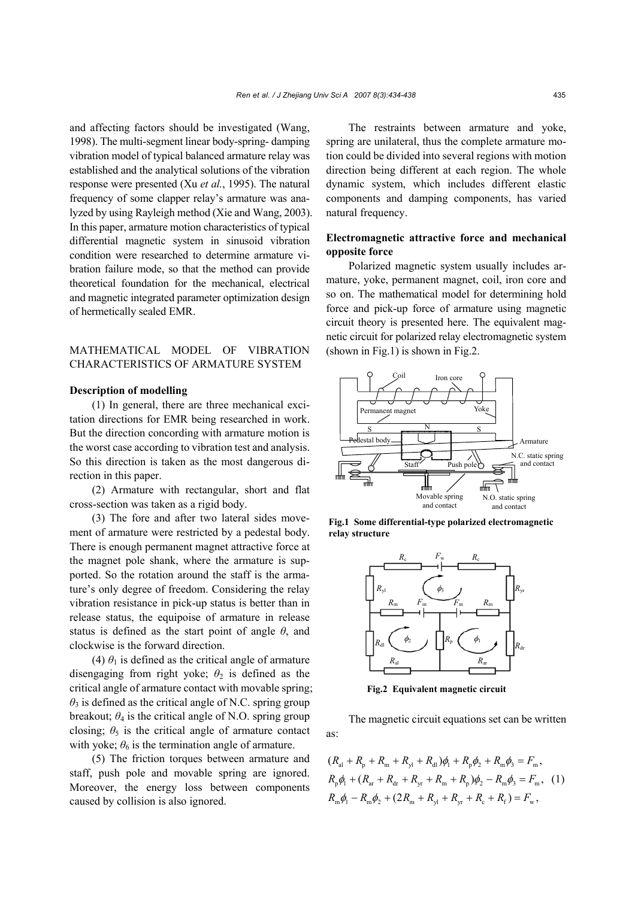and affecting factors should be investigated (Wang, 1998). The multi-segment linear body-spring- damping vibration model of typical balanced armature relay was established and the analytical solutions of the vibration response were presented (Xu *et al.*, 1995). The natural frequency of some clapper relay's armature was analyzed by using Rayleigh method (Xie and Wang, 2003). In this paper, armature motion characteristics of typical differential magnetic system in sinusoid vibration condition were researched to determine armature vibration failure mode, so that the method can provide theoretical foundation for the mechanical, electrical and magnetic integrated parameter optimization design of hermetically sealed EMR.

## MATHEMATICAL MODEL OF VIBRATION CHARACTERISTICS OF ARMATURE SYSTEM

## **Description of modelling**

(1) In general, there are three mechanical excitation directions for EMR being researched in work. But the direction concording with armature motion is the worst case according to vibration test and analysis. So this direction is taken as the most dangerous direction in this paper.

(2) Armature with rectangular, short and flat cross-section was taken as a rigid body.

(3) The fore and after two lateral sides movement of armature were restricted by a pedestal body. There is enough permanent magnet attractive force at the magnet pole shank, where the armature is supported. So the rotation around the staff is the armature's only degree of freedom. Considering the relay vibration resistance in pick-up status is better than in release status, the equipoise of armature in release status is defined as the start point of angle *θ*, and clockwise is the forward direction.

(4)  $\theta_1$  is defined as the critical angle of armature disengaging from right yoke;  $\theta_2$  is defined as the critical angle of armature contact with movable spring;  $\theta_3$  is defined as the critical angle of N.C. spring group breakout;  $\theta_4$  is the critical angle of N.O. spring group closing;  $\theta_5$  is the critical angle of armature contact with yoke;  $\theta_6$  is the termination angle of armature.

(5) The friction torques between armature and staff, push pole and movable spring are ignored. Moreover, the energy loss between components caused by collision is also ignored.

The restraints between armature and yoke, spring are unilateral, thus the complete armature motion could be divided into several regions with motion direction being different at each region. The whole dynamic system, which includes different elastic components and damping components, has varied natural frequency.

# **Electromagnetic attractive force and mechanical opposite force**

Polarized magnetic system usually includes armature, yoke, permanent magnet, coil, iron core and so on. The mathematical model for determining hold force and pick-up force of armature using magnetic circuit theory is presented here. The equivalent magnetic circuit for polarized relay electromagnetic system (shown in Fig.1) is shown in Fig.2.



**Fig.1 Some differential-type polarized electromagnetic relay structure**



**Fig.2 Equivalent magnetic circuit**

The magnetic circuit equations set can be written as:

$$
(R_{\rm al} + R_{\rm p} + R_{\rm m} + R_{\rm y1} + R_{\rm dl})\phi_1 + R_{\rm p}\phi_2 + R_{\rm m}\phi_3 = F_{\rm m},
$$
  
\n
$$
R_{\rm p}\phi_1 + (R_{\rm ar} + R_{\rm dr} + R_{\rm yr} + R_{\rm m} + R_{\rm p})\phi_2 - R_{\rm m}\phi_3 = F_{\rm m},
$$
  
\n
$$
R_{\rm m}\phi_1 - R_{\rm m}\phi_2 + (2R_{\rm m} + R_{\rm y1} + R_{\rm yr} + R_{\rm c} + R_{\rm f}) = F_{\rm w},
$$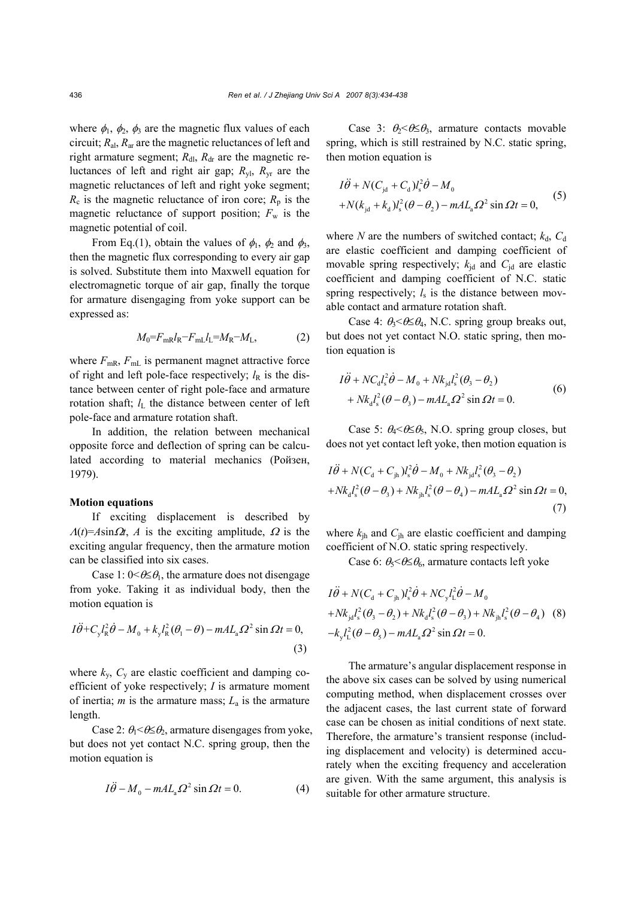where  $\phi_1$ ,  $\phi_2$ ,  $\phi_3$  are the magnetic flux values of each circuit; *R*al, *R*ar are the magnetic reluctances of left and right armature segment;  $R_{\text{dl}}$ ,  $R_{\text{dr}}$  are the magnetic reluctances of left and right air gap;  $R_{\rm y1}$ ,  $R_{\rm yr}$  are the magnetic reluctances of left and right yoke segment;  $R_c$  is the magnetic reluctance of iron core;  $R_p$  is the magnetic reluctance of support position;  $F_w$  is the magnetic potential of coil.

From Eq.(1), obtain the values of  $\phi_1$ ,  $\phi_2$  and  $\phi_3$ , then the magnetic flux corresponding to every air gap is solved. Substitute them into Maxwell equation for electromagnetic torque of air gap, finally the torque for armature disengaging from yoke support can be expressed as:

$$
M_0 = F_{\text{mR}} l_{\text{R}} - F_{\text{mL}} l_{\text{L}} = M_{\text{R}} - M_{\text{L}},\tag{2}
$$

where  $F_{\text{mR}}$ ,  $F_{\text{mL}}$  is permanent magnet attractive force of right and left pole-face respectively;  $l_R$  is the distance between center of right pole-face and armature rotation shaft;  $l<sub>L</sub>$  the distance between center of left pole-face and armature rotation shaft.

In addition, the relation between mechanical opposite force and deflection of spring can be calculated according to material mechanics (Ройзен, 1979).

#### **Motion equations**

If exciting displacement is described by  $\Lambda(t) = Asin\Omega t$ , *A* is the exciting amplitude,  $\Omega$  is the exciting angular frequency, then the armature motion can be classified into six cases.

Case 1:  $0 \leq \theta \leq \theta_1$ , the armature does not disengage from yoke. Taking it as individual body, then the motion equation is

$$
I\ddot{\theta} + C_y l_{\rm R}^2 \dot{\theta} - M_0 + k_y l_{\rm R}^2 (\theta_1 - \theta) - m A L_{\rm a} \Omega^2 \sin \Omega t = 0,
$$
\n(3)

where  $k_{v}$ ,  $C_{v}$  are elastic coefficient and damping coefficient of yoke respectively; *I* is armature moment of inertia; *m* is the armature mass; *L*a is the armature length.

Case 2:  $\theta_1 < \theta \leq \theta_2$ , armature disengages from yoke. but does not yet contact N.C. spring group, then the motion equation is

$$
I\ddot{\theta} - M_0 - mAL_a\Omega^2 \sin \Omega t = 0.
$$
 (4)

Case 3:  $\theta_2 \leq \theta \leq \theta_3$ , armature contacts movable spring, which is still restrained by N.C. static spring, then motion equation is

$$
I\ddot{\theta} + N(C_{\rm jd} + C_{\rm d})l_{\rm s}^2 \dot{\theta} - M_0
$$
  
+  $N(k_{\rm jd} + k_{\rm d})l_{\rm s}^2 (\theta - \theta_2) - m A L_{\rm a} \Omega^2 \sin \Omega t = 0,$  (5)

where *N* are the numbers of switched contact;  $k_d$ ,  $C_d$ are elastic coefficient and damping coefficient of movable spring respectively;  $k_{id}$  and  $C_{id}$  are elastic coefficient and damping coefficient of N.C. static spring respectively;  $l_s$  is the distance between movable contact and armature rotation shaft.

Case 4:  $\theta_3 \leq \theta \leq \theta_4$ , N.C. spring group breaks out, but does not yet contact N.O. static spring, then motion equation is

$$
I\ddot{\theta} + NC_{d}l_{s}^{2}\dot{\theta} - M_{0} + Nk_{jd}l_{s}^{2}(\theta_{3} - \theta_{2})
$$
  
+  $Nk_{d}l_{s}^{2}(\theta - \theta_{3}) - mAL_{a}\Omega^{2}\sin \Omega t = 0.$  (6)

Case 5:  $\theta_4 < \theta \leq \theta_5$ , N.O. spring group closes, but does not yet contact left yoke, then motion equation is

$$
I\ddot{\theta} + N(C_{\rm d} + C_{\rm jh})l_s^2 \dot{\theta} - M_0 + Nk_{\rm jd}l_s^2 (\theta_3 - \theta_2) + Nk_{\rm d}l_s^2 (\theta - \theta_3) + Nk_{\rm jh}l_s^2 (\theta - \theta_4) - mAL_{\rm a}\Omega^2 \sin \Omega t = 0,
$$
\n(7)

where  $k_{ih}$  and  $C_{ih}$  are elastic coefficient and damping coefficient of N.O. static spring respectively.

Case 6:  $\theta_5 \leq \theta \leq \theta_6$ , armature contacts left yoke

$$
I\ddot{\theta} + N(C_{\rm d} + C_{\rm jh})l_s^2 \dot{\theta} + NC_{\rm y} l_{\rm L}^2 \dot{\theta} - M_0
$$
  
+  $Nk_{\rm jd} l_s^2 (\theta_3 - \theta_2) + Nk_d l_s^2 (\theta - \theta_3) + Nk_{\rm jh} l_s^2 (\theta - \theta_4)$  (8)  
- $k_{\rm y} l_{\rm L}^2 (\theta - \theta_5) - m A L_{\rm a} \Omega^2 \sin \Omega t = 0.$ 

The armature's angular displacement response in the above six cases can be solved by using numerical computing method, when displacement crosses over the adjacent cases, the last current state of forward case can be chosen as initial conditions of next state. Therefore, the armature's transient response (including displacement and velocity) is determined accurately when the exciting frequency and acceleration are given. With the same argument, this analysis is suitable for other armature structure.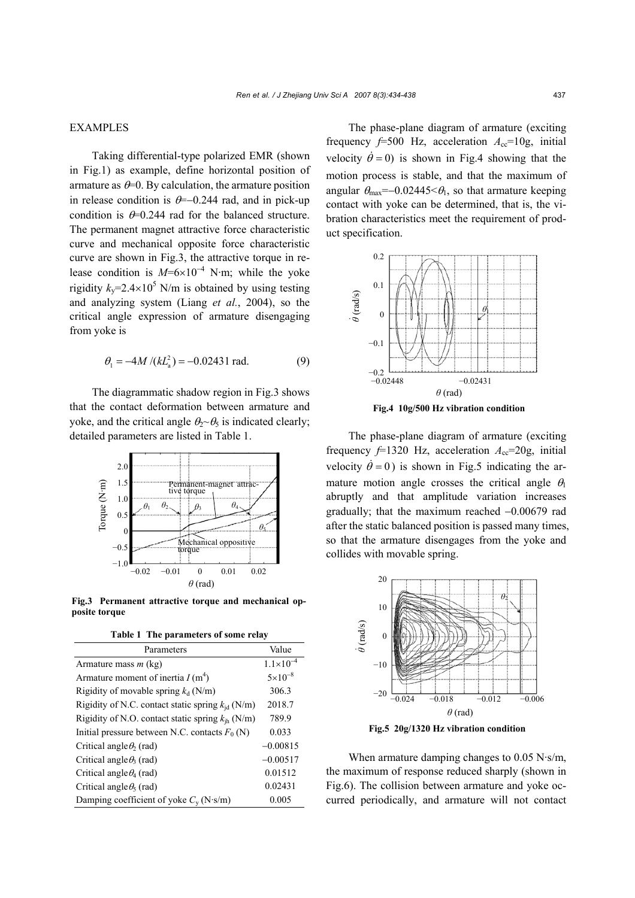## EXAMPLES

Taking differential-type polarized EMR (shown in Fig.1) as example, define horizontal position of armature as  $\theta$ =0. By calculation, the armature position in release condition is  $\theta$ =−0.244 rad, and in pick-up condition is  $\theta$ =0.244 rad for the balanced structure. The permanent magnet attractive force characteristic curve and mechanical opposite force characteristic curve are shown in Fig.3, the attractive torque in release condition is  $M=6\times10^{-4}$  N·m; while the yoke rigidity  $k_y$ =2.4×10<sup>5</sup> N/m is obtained by using testing and analyzing system (Liang *et al.*, 2004), so the critical angle expression of armature disengaging from yoke is

$$
\theta_1 = -4M/(kL_a^2) = -0.02431 \text{ rad.}
$$
 (9)

The diagrammatic shadow region in Fig.3 shows that the contact deformation between armature and yoke, and the critical angle  $\theta_2 \sim \theta_5$  is indicated clearly; detailed parameters are listed in Table 1.



**Fig.3 Permanent attractive torque and mechanical opposite torque**

**Table 1 The parameters of some relay** 

| Parameters                                            | Value                |
|-------------------------------------------------------|----------------------|
| Armature mass $m$ (kg)                                | $1.1 \times 10^{-4}$ |
| Armature moment of inertia $I(m^4)$                   | $5 \times 10^{-8}$   |
| Rigidity of movable spring $k_d$ (N/m)                | 306.3                |
| Rigidity of N.C. contact static spring $k_{id}$ (N/m) | 2018.7               |
| Rigidity of N.O. contact static spring $k_{ih}$ (N/m) | 789.9                |
| Initial pressure between N.C. contacts $F_0(N)$       | 0.033                |
| Critical angle $\theta_2$ (rad)                       | $-0.00815$           |
| Critical angle $\theta_3$ (rad)                       | $-0.00517$           |
| Critical angle $\theta_4$ (rad)                       | 0.01512              |
| Critical angle $\theta_5$ (rad)                       | 0.02431              |
| Damping coefficient of yoke $C_v$ (N·s/m)             | 0.005                |

The phase-plane diagram of armature (exciting frequency  $f=500$  Hz, acceleration  $A_{cc}=10g$ , initial velocity  $\dot{\theta} = 0$ ) is shown in Fig.4 showing that the motion process is stable, and that the maximum of angular  $\theta_{\text{max}}$ =−0.02445< $\theta_1$ , so that armature keeping contact with yoke can be determined, that is, the vibration characteristics meet the requirement of product specification.



The phase-plane diagram of armature (exciting frequency  $f=1320$  Hz, acceleration  $A_{cc}=20g$ , initial velocity  $\dot{\theta} = 0$ ) is shown in Fig.5 indicating the armature motion angle crosses the critical angle  $\theta_1$ abruptly and that amplitude variation increases gradually; that the maximum reached −0.00679 rad after the static balanced position is passed many times, so that the armature disengages from the yoke and collides with movable spring.



**Fig.5 20g/1320 Hz vibration condition**

When armature damping changes to 0.05 N·s/m, the maximum of response reduced sharply (shown in Fig.6). The collision between armature and yoke occurred periodically, and armature will not contact